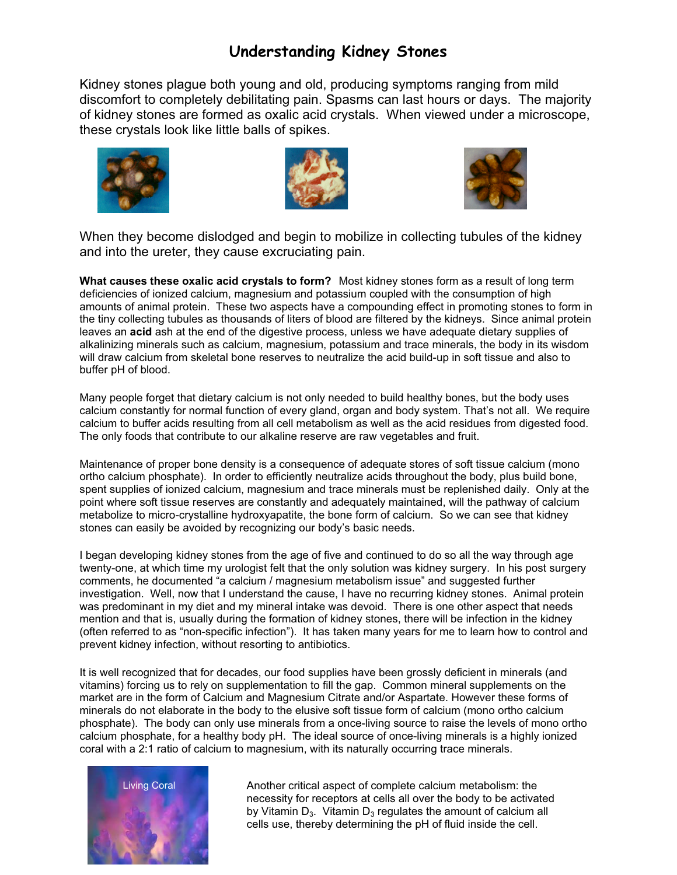## **Understanding Kidney Stones**

Kidney stones plague both young and old, producing symptoms ranging from mild discomfort to completely debilitating pain. Spasms can last hours or days. The majority of kidney stones are formed as oxalic acid crystals. When viewed under a microscope, these crystals look like little balls of spikes.







When they become dislodged and begin to mobilize in collecting tubules of the kidney and into the ureter, they cause excruciating pain.

**What causes these oxalic acid crystals to form?** Most kidney stones form as a result of long term deficiencies of ionized calcium, magnesium and potassium coupled with the consumption of high amounts of animal protein. These two aspects have a compounding effect in promoting stones to form in the tiny collecting tubules as thousands of liters of blood are filtered by the kidneys. Since animal protein leaves an **acid** ash at the end of the digestive process, unless we have adequate dietary supplies of alkalinizing minerals such as calcium, magnesium, potassium and trace minerals, the body in its wisdom will draw calcium from skeletal bone reserves to neutralize the acid build-up in soft tissue and also to buffer pH of blood.

Many people forget that dietary calcium is not only needed to build healthy bones, but the body uses calcium constantly for normal function of every gland, organ and body system. That's not all. We require calcium to buffer acids resulting from all cell metabolism as well as the acid residues from digested food. The only foods that contribute to our alkaline reserve are raw vegetables and fruit.

Maintenance of proper bone density is a consequence of adequate stores of soft tissue calcium (mono ortho calcium phosphate). In order to efficiently neutralize acids throughout the body, plus build bone, spent supplies of ionized calcium, magnesium and trace minerals must be replenished daily. Only at the point where soft tissue reserves are constantly and adequately maintained, will the pathway of calcium metabolize to micro-crystalline hydroxyapatite, the bone form of calcium. So we can see that kidney stones can easily be avoided by recognizing our body's basic needs.

I began developing kidney stones from the age of five and continued to do so all the way through age twenty-one, at which time my urologist felt that the only solution was kidney surgery. In his post surgery comments, he documented "a calcium / magnesium metabolism issue" and suggested further investigation. Well, now that I understand the cause, I have no recurring kidney stones. Animal protein was predominant in my diet and my mineral intake was devoid. There is one other aspect that needs mention and that is, usually during the formation of kidney stones, there will be infection in the kidney (often referred to as "non-specific infection"). It has taken many years for me to learn how to control and prevent kidney infection, without resorting to antibiotics.

It is well recognized that for decades, our food supplies have been grossly deficient in minerals (and vitamins) forcing us to rely on supplementation to fill the gap. Common mineral supplements on the market are in the form of Calcium and Magnesium Citrate and/or Aspartate. However these forms of minerals do not elaborate in the body to the elusive soft tissue form of calcium (mono ortho calcium phosphate). The body can only use minerals from a once-living source to raise the levels of mono ortho calcium phosphate, for a healthy body pH. The ideal source of once-living minerals is a highly ionized coral with a 2:1 ratio of calcium to magnesium, with its naturally occurring trace minerals.



Another critical aspect of complete calcium metabolism: the necessity for receptors at cells all over the body to be activated by Vitamin  $D_3$ . Vitamin  $D_3$  regulates the amount of calcium all cells use, thereby determining the pH of fluid inside the cell.